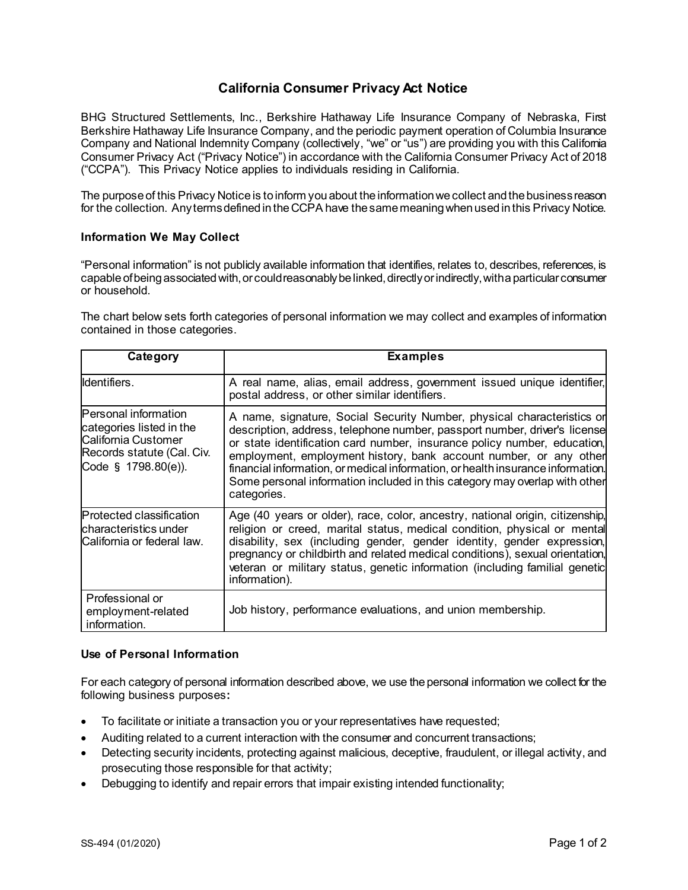## **California Consumer Privacy Act Notice**

BHG Structured Settlements, Inc., Berkshire Hathaway Life Insurance Company of Nebraska, First Berkshire Hathaway Life Insurance Company, and the periodic payment operation of Columbia Insurance Company and National Indemnity Company (collectively, "we" or "us") are providing you with this California Consumer Privacy Act ("Privacy Notice") in accordance with the California Consumer Privacy Act of 2018 ("CCPA"). This Privacy Notice applies to individuals residing in California.

The purpose of this Privacy Notice is to inform you about the information we collect and the business reason for the collection. Any terms defined in the CCPA have the same meaning when used in this Privacy Notice.

## **Information We May Collect**

"Personal information" is not publicly available information that identifies, relates to, describes, references, is capable of being associated with, or could reasonably be linked, directly or indirectly, with a particular consumer or household.

The chart below sets forth categories of personal information we may collect and examples of information contained in those categories.

| Category                                                                                                                            | <b>Examples</b>                                                                                                                                                                                                                                                                                                                                                                                                                                                                      |
|-------------------------------------------------------------------------------------------------------------------------------------|--------------------------------------------------------------------------------------------------------------------------------------------------------------------------------------------------------------------------------------------------------------------------------------------------------------------------------------------------------------------------------------------------------------------------------------------------------------------------------------|
| Identifiers.                                                                                                                        | A real name, alias, email address, government issued unique identifier,<br>postal address, or other similar identifiers.                                                                                                                                                                                                                                                                                                                                                             |
| <b>Personal information</b><br>categories listed in the<br>California Customer<br>Records statute (Cal. Civ.<br>Code § 1798.80(e)). | A name, signature, Social Security Number, physical characteristics or<br>description, address, telephone number, passport number, driver's license<br>or state identification card number, insurance policy number, education,<br>employment, employment history, bank account number, or any other<br>financial information, or medical information, or health insurance information.<br>Some personal information included in this category may overlap with other<br>categories. |
| Protected classification<br>lcharacteristics under<br>California or federal law.                                                    | Age (40 years or older), race, color, ancestry, national origin, citizenship,<br>religion or creed, marital status, medical condition, physical or mental<br>disability, sex (including gender, gender identity, gender expression,<br>pregnancy or childbirth and related medical conditions), sexual orientation,<br>veteran or military status, genetic information (including familial genetic<br>information).                                                                  |
| Professional or<br>employment-related<br>information.                                                                               | Job history, performance evaluations, and union membership.                                                                                                                                                                                                                                                                                                                                                                                                                          |

## **Use of Personal Information**

For each category of personal information described above, we use the personal information we collect for the following business purposes**:**

- To facilitate or initiate a transaction you or your representatives have requested;
- Auditing related to a current interaction with the consumer and concurrent transactions;
- Detecting security incidents, protecting against malicious, deceptive, fraudulent, or illegal activity, and prosecuting those responsible for that activity;
- Debugging to identify and repair errors that impair existing intended functionality;